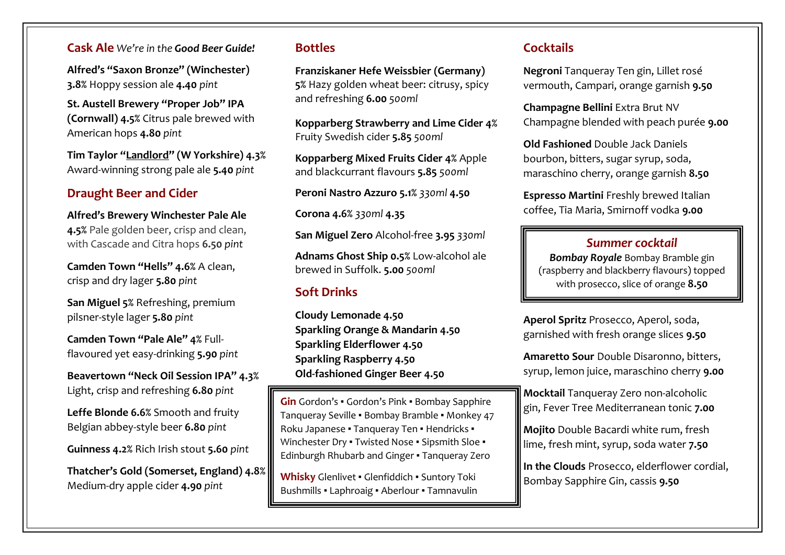**Cask Ale** *We're in the Good Beer Guide!*

**Alfred's "Saxon Bronze" (Winchester) 3.8%** Hoppy session ale **4.40** *pint*

**St. Austell Brewery "Proper Job" IPA (Cornwall) 4.5%** Citrus pale brewed with American hops **4.80** *pint*

**Tim Taylor "Landlord" (W Yorkshire) 4.3%**  Award-winning strong pale ale **5.40** *pint*

### **Draught Beer and Cider**

**Alfred's Brewery Winchester Pale Ale 4.5%** Pale golden beer, crisp and clean, with Cascade and Citra hops **6.50** *pint*

**Camden Town "Hells" 4.6%** A clean, crisp and dry lager **5.80** *pint*

**San Miguel 5%** Refreshing, premium pilsner-style lager **5.80** *pint*

**Camden Town "Pale Ale" 4%** Fullflavoured yet easy-drinking **5.90** *pint*

**Beavertown "Neck Oil Session IPA" 4.3%** Light, crisp and refreshing **6.80** *pint*

**Leffe Blonde 6.6%** Smooth and fruity Belgian abbey-style beer **6.80** *pint*

**Guinness 4.2%** Rich Irish stout **5.60** *pint*

**Thatcher's Gold (Somerset, England) 4.8%**  Medium-dry apple cider **4.90** *pint*

#### **Bottles**

**Franziskaner Hefe Weissbier (Germany) 5%** Hazy golden wheat beer: citrusy, spicy and refreshing **6.00** *500ml*

**Kopparberg Strawberry and Lime Cider 4%**  Fruity Swedish cider **5.85** *500ml*

**Kopparberg Mixed Fruits Cider 4%** Apple and blackcurrant flavours **5.85** *500ml*

**Peroni Nastro Azzuro 5.1%** *330ml* **4.50**

**Corona 4.6%** *330ml* **4.35**

**San Miguel Zero** Alcohol-free **3.95** *330ml*

**Adnams Ghost Ship 0.5%** Low-alcohol ale brewed in Suffolk. **5.00** *500ml*

## **Soft Drinks**

**Cloudy Lemonade 4.50 Sparkling Orange & Mandarin 4.50 Sparkling Elderflower 4.50 Sparkling Raspberry 4.50 Old-fashioned Ginger Beer 4.50**

**Gin** Gordon's ▪ Gordon's Pink ▪ Bombay Sapphire Tanqueray Seville ▪ Bombay Bramble ▪ Monkey 47 Roku Japanese · Tanqueray Ten · Hendricks · Winchester Dry . Twisted Nose . Sipsmith Sloe . Edinburgh Rhubarb and Ginger ▪ Tanqueray Zero

**Whisky** Glenlivet ▪ Glenfiddich ▪ Suntory Toki Bushmills ▪ Laphroaig ▪ Aberlour ▪ Tamnavulin

### **Cocktails**

**Negroni** Tanqueray Ten gin, Lillet rosé vermouth, Campari, orange garnish **9.50**

**Champagne Bellini** Extra Brut NV Champagne blended with peach purée **9.00**

**Old Fashioned** Double Jack Daniels bourbon, bitters, sugar syrup, soda, maraschino cherry, orange garnish **8.50**

**Espresso Martini** Freshly brewed Italian coffee, Tia Maria, Smirnoff vodka **9.00** 

## *Summer cocktail*

*Bombay Royale* Bombay Bramble gin (raspberry and blackberry flavours) topped with prosecco, slice of orange **8.50**

**Aperol Spritz** Prosecco, Aperol, soda, garnished with fresh orange slices **9.50**

**Amaretto Sour** Double Disaronno, bitters, syrup, lemon juice, maraschino cherry **9.00**

**Mocktail** Tanqueray Zero non-alcoholic gin, Fever Tree Mediterranean tonic **7.00**

**Mojito** Double Bacardi white rum, fresh lime, fresh mint, syrup, soda water **7.50**

**In the Clouds** Prosecco, elderflower cordial, Bombay Sapphire Gin, cassis **9.50**